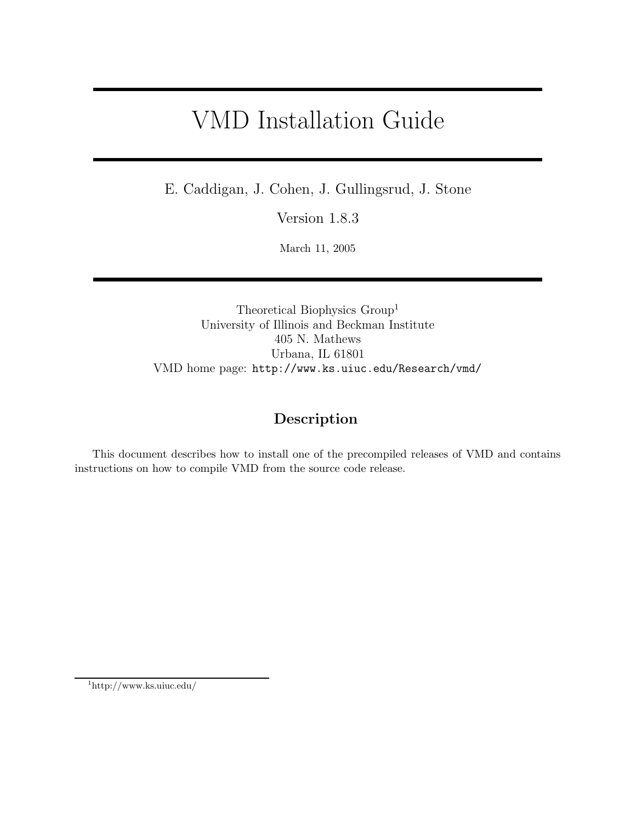# VMD Installation Guide

E. Caddigan, J. Cohen, J. Gullingsrud, J. Stone

Version 1.8.3

March 11, 2005

Theoretical Biophysics Group<sup>1</sup> University of Illinois and Beckman Institute 405 N. Mathews Urbana, IL 61801 VMD home page: http://www.ks.uiuc.edu/Research/vmd/

# **Description**

This document describes how to install one of the precompiled releases of VMD and contains instructions on how to compile VMD from the source code release.

1http://www.ks.uiuc.edu/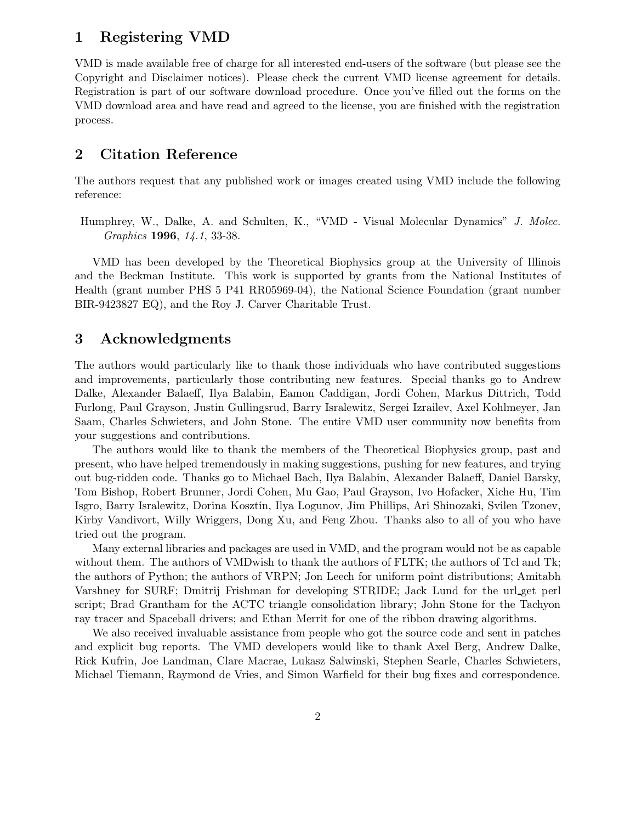## **1 Registering VMD**

VMD is made available free of charge for all interested end-users of the software (but please see the Copyright and Disclaimer notices). Please check the current VMD license agreement for details. Registration is part of our software download procedure. Once you've filled out the forms on the VMD download area and have read and agreed to the license, you are finished with the registration process.

# **2 Citation Reference**

The authors request that any published work or images created using VMD include the following reference:

Humphrey, W., Dalke, A. and Schulten, K., "VMD - Visual Molecular Dynamics" *J. Molec. Graphics* **1996**, *14.1*, 33-38.

VMD has been developed by the Theoretical Biophysics group at the University of Illinois and the Beckman Institute. This work is supported by grants from the National Institutes of Health (grant number PHS 5 P41 RR05969-04), the National Science Foundation (grant number BIR-9423827 EQ), and the Roy J. Carver Charitable Trust.

# **3 Acknowledgments**

The authors would particularly like to thank those individuals who have contributed suggestions and improvements, particularly those contributing new features. Special thanks go to Andrew Dalke, Alexander Balaeff, Ilya Balabin, Eamon Caddigan, Jordi Cohen, Markus Dittrich, Todd Furlong, Paul Grayson, Justin Gullingsrud, Barry Isralewitz, Sergei Izrailev, Axel Kohlmeyer, Jan Saam, Charles Schwieters, and John Stone. The entire VMD user community now benefits from your suggestions and contributions.

The authors would like to thank the members of the Theoretical Biophysics group, past and present, who have helped tremendously in making suggestions, pushing for new features, and trying out bug-ridden code. Thanks go to Michael Bach, Ilya Balabin, Alexander Balaeff, Daniel Barsky, Tom Bishop, Robert Brunner, Jordi Cohen, Mu Gao, Paul Grayson, Ivo Hofacker, Xiche Hu, Tim Isgro, Barry Isralewitz, Dorina Kosztin, Ilya Logunov, Jim Phillips, Ari Shinozaki, Svilen Tzonev, Kirby Vandivort, Willy Wriggers, Dong Xu, and Feng Zhou. Thanks also to all of you who have tried out the program.

Many external libraries and packages are used in VMD, and the program would not be as capable without them. The authors of VMDwish to thank the authors of FLTK; the authors of Tcl and Tk; the authors of Python; the authors of VRPN; Jon Leech for uniform point distributions; Amitabh Varshney for SURF; Dmitrij Frishman for developing STRIDE; Jack Lund for the url get perl script; Brad Grantham for the ACTC triangle consolidation library; John Stone for the Tachyon ray tracer and Spaceball drivers; and Ethan Merrit for one of the ribbon drawing algorithms.

We also received invaluable assistance from people who got the source code and sent in patches and explicit bug reports. The VMD developers would like to thank Axel Berg, Andrew Dalke, Rick Kufrin, Joe Landman, Clare Macrae, Lukasz Salwinski, Stephen Searle, Charles Schwieters, Michael Tiemann, Raymond de Vries, and Simon Warfield for their bug fixes and correspondence.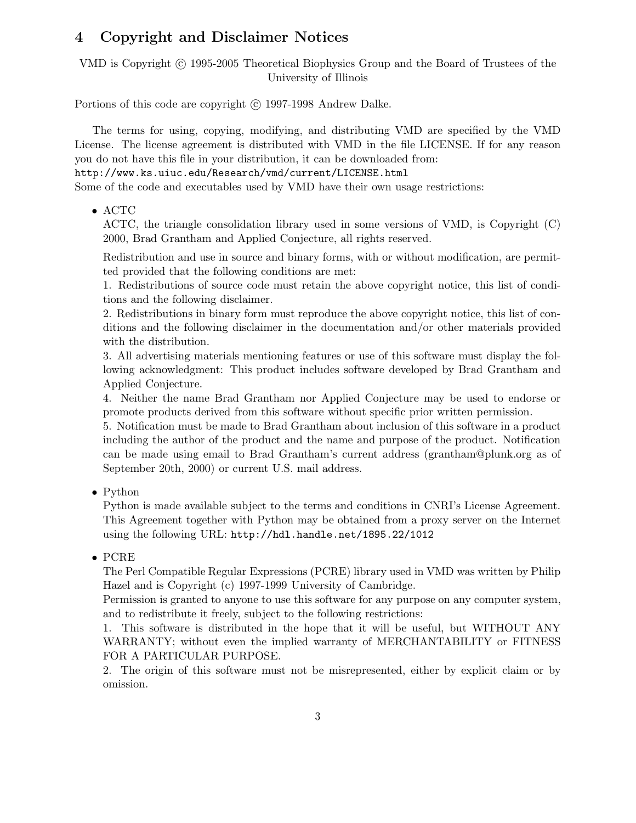# **4 Copyright and Disclaimer Notices**

VMD is Copyright © 1995-2005 Theoretical Biophysics Group and the Board of Trustees of the University of Illinois

Portions of this code are copyright (c) 1997-1998 Andrew Dalke.

The terms for using, copying, modifying, and distributing VMD are specified by the VMD License. The license agreement is distributed with VMD in the file LICENSE. If for any reason you do not have this file in your distribution, it can be downloaded from:

http://www.ks.uiuc.edu/Research/vmd/current/LICENSE.html

Some of the code and executables used by VMD have their own usage restrictions:

• ACTC

ACTC, the triangle consolidation library used in some versions of VMD, is Copyright (C) 2000, Brad Grantham and Applied Conjecture, all rights reserved.

Redistribution and use in source and binary forms, with or without modification, are permitted provided that the following conditions are met:

1. Redistributions of source code must retain the above copyright notice, this list of conditions and the following disclaimer.

2. Redistributions in binary form must reproduce the above copyright notice, this list of conditions and the following disclaimer in the documentation and/or other materials provided with the distribution.

3. All advertising materials mentioning features or use of this software must display the following acknowledgment: This product includes software developed by Brad Grantham and Applied Conjecture.

4. Neither the name Brad Grantham nor Applied Conjecture may be used to endorse or promote products derived from this software without specific prior written permission.

5. Notification must be made to Brad Grantham about inclusion of this software in a product including the author of the product and the name and purpose of the product. Notification can be made using email to Brad Grantham's current address (grantham@plunk.org as of September 20th, 2000) or current U.S. mail address.

• Python

Python is made available subject to the terms and conditions in CNRI's License Agreement. This Agreement together with Python may be obtained from a proxy server on the Internet using the following URL: http://hdl.handle.net/1895.22/1012

#### • PCRE

The Perl Compatible Regular Expressions (PCRE) library used in VMD was written by Philip Hazel and is Copyright (c) 1997-1999 University of Cambridge.

Permission is granted to anyone to use this software for any purpose on any computer system, and to redistribute it freely, subject to the following restrictions:

1. This software is distributed in the hope that it will be useful, but WITHOUT ANY WARRANTY; without even the implied warranty of MERCHANTABILITY or FITNESS FOR A PARTICULAR PURPOSE.

2. The origin of this software must not be misrepresented, either by explicit claim or by omission.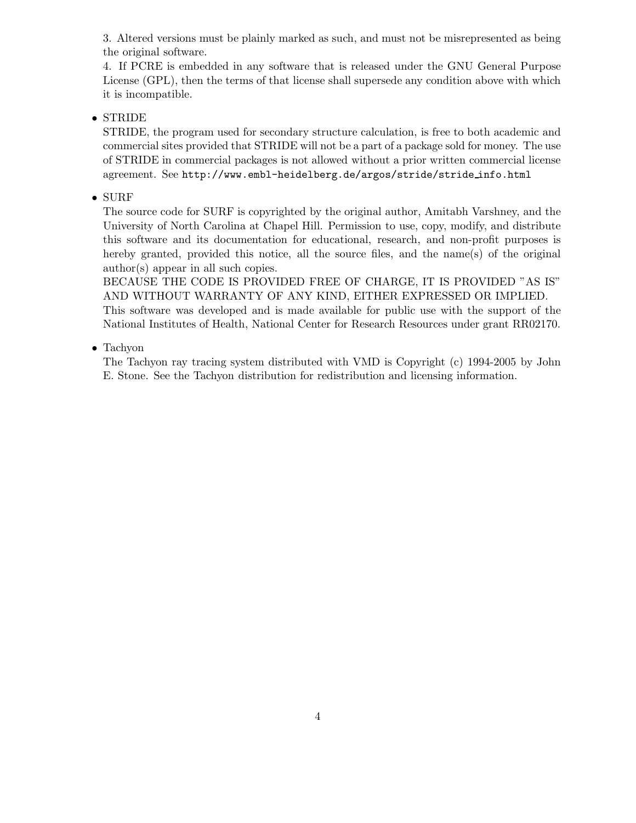3. Altered versions must be plainly marked as such, and must not be misrepresented as being the original software.

4. If PCRE is embedded in any software that is released under the GNU General Purpose License (GPL), then the terms of that license shall supersede any condition above with which it is incompatible.

#### • STRIDE

STRIDE, the program used for secondary structure calculation, is free to both academic and commercial sites provided that STRIDE will not be a part of a package sold for money. The use of STRIDE in commercial packages is not allowed without a prior written commercial license agreement. See http://www.embl-heidelberg.de/argos/stride/stride info.html

#### • SURF

The source code for SURF is copyrighted by the original author, Amitabh Varshney, and the University of North Carolina at Chapel Hill. Permission to use, copy, modify, and distribute this software and its documentation for educational, research, and non-profit purposes is hereby granted, provided this notice, all the source files, and the name(s) of the original author(s) appear in all such copies.

BECAUSE THE CODE IS PROVIDED FREE OF CHARGE, IT IS PROVIDED "AS IS" AND WITHOUT WARRANTY OF ANY KIND, EITHER EXPRESSED OR IMPLIED. This software was developed and is made available for public use with the support of the National Institutes of Health, National Center for Research Resources under grant RR02170.

#### • Tachyon

The Tachyon ray tracing system distributed with VMD is Copyright (c) 1994-2005 by John E. Stone. See the Tachyon distribution for redistribution and licensing information.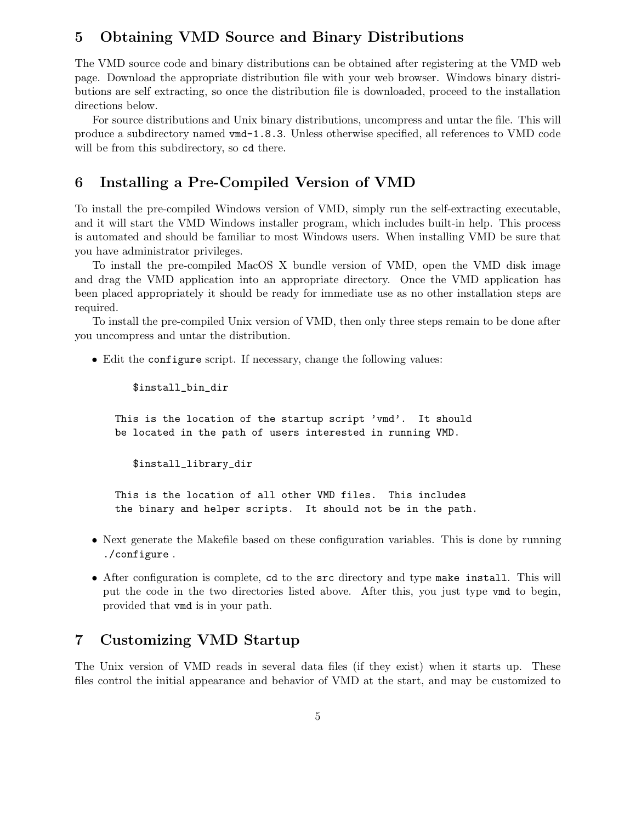## **5 Obtaining VMD Source and Binary Distributions**

The VMD source code and binary distributions can be obtained after registering at the VMD web page. Download the appropriate distribution file with your web browser. Windows binary distributions are self extracting, so once the distribution file is downloaded, proceed to the installation directions below.

For source distributions and Unix binary distributions, uncompress and untar the file. This will produce a subdirectory named vmd-1.8.3. Unless otherwise specified, all references to VMD code will be from this subdirectory, so  $cd$  there.

## **6 Installing a Pre-Compiled Version of VMD**

To install the pre-compiled Windows version of VMD, simply run the self-extracting executable, and it will start the VMD Windows installer program, which includes built-in help. This process is automated and should be familiar to most Windows users. When installing VMD be sure that you have administrator privileges.

To install the pre-compiled MacOS X bundle version of VMD, open the VMD disk image and drag the VMD application into an appropriate directory. Once the VMD application has been placed appropriately it should be ready for immediate use as no other installation steps are required.

To install the pre-compiled Unix version of VMD, then only three steps remain to be done after you uncompress and untar the distribution.

• Edit the configure script. If necessary, change the following values:

\$install\_bin\_dir

This is the location of the startup script 'vmd'. It should be located in the path of users interested in running VMD.

\$install\_library\_dir

This is the location of all other VMD files. This includes the binary and helper scripts. It should not be in the path.

- Next generate the Makefile based on these configuration variables. This is done by running ./configure .
- After configuration is complete, cd to the src directory and type make install. This will put the code in the two directories listed above. After this, you just type vmd to begin, provided that vmd is in your path.

# **7 Customizing VMD Startup**

The Unix version of VMD reads in several data files (if they exist) when it starts up. These files control the initial appearance and behavior of VMD at the start, and may be customized to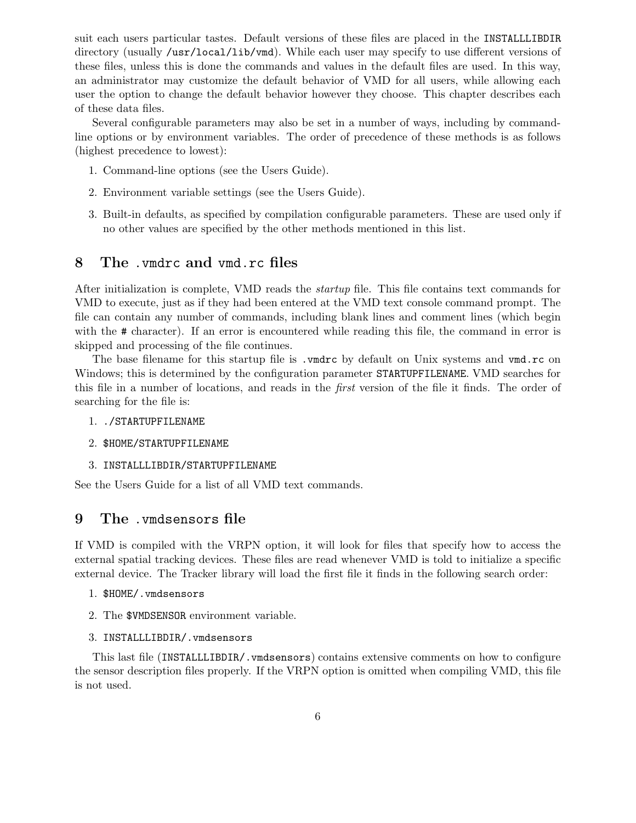suit each users particular tastes. Default versions of these files are placed in the INSTALLLIBDIR directory (usually /usr/local/lib/vmd). While each user may specify to use different versions of these files, unless this is done the commands and values in the default files are used. In this way, an administrator may customize the default behavior of VMD for all users, while allowing each user the option to change the default behavior however they choose. This chapter describes each of these data files.

Several configurable parameters may also be set in a number of ways, including by commandline options or by environment variables. The order of precedence of these methods is as follows (highest precedence to lowest):

- 1. Command-line options (see the Users Guide).
- 2. Environment variable settings (see the Users Guide).
- 3. Built-in defaults, as specified by compilation configurable parameters. These are used only if no other values are specified by the other methods mentioned in this list.

### **8 The** .vmdrc **and** vmd.rc **files**

After initialization is complete, VMD reads the *startup* file. This file contains text commands for VMD to execute, just as if they had been entered at the VMD text console command prompt. The file can contain any number of commands, including blank lines and comment lines (which begin with the # character). If an error is encountered while reading this file, the command in error is skipped and processing of the file continues.

The base filename for this startup file is .vmdrc by default on Unix systems and vmd.rc on Windows; this is determined by the configuration parameter STARTUPFILENAME. VMD searches for this file in a number of locations, and reads in the *first* version of the file it finds. The order of searching for the file is:

- 1. ./STARTUPFILENAME
- 2. \$HOME/STARTUPFILENAME
- 3. INSTALLLIBDIR/STARTUPFILENAME

See the Users Guide for a list of all VMD text commands.

#### **9 The** .vmdsensors **file**

If VMD is compiled with the VRPN option, it will look for files that specify how to access the external spatial tracking devices. These files are read whenever VMD is told to initialize a specific external device. The Tracker library will load the first file it finds in the following search order:

- 1. \$HOME/.vmdsensors
- 2. The \$VMDSENSOR environment variable.
- 3. INSTALLLIBDIR/.vmdsensors

This last file (INSTALLLIBDIR/.vmdsensors) contains extensive comments on how to configure the sensor description files properly. If the VRPN option is omitted when compiling VMD, this file is not used.